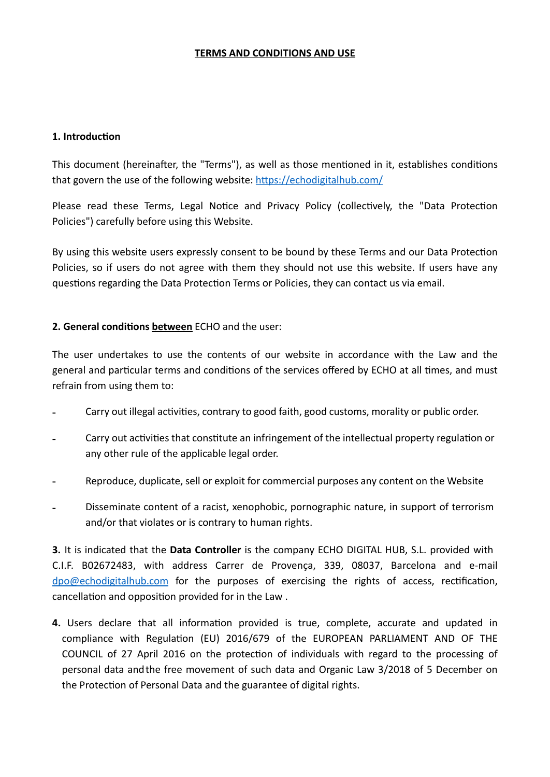## **TERMS AND CONDITIONS AND USE**

## 1. **Introduction**

This document (hereinafter, the "Terms"), as well as those mentioned in it, establishes conditions that govern the use of the following website: https://echodigitalhub.com/

Please read these Terms, Legal Notice and Privacy Policy (collectively, the "Data Protection Policies") carefully before using this Website.

By using this website users expressly consent to be bound by these Terms and our Data Protection Policies, so if users do not agree with them they should not use this website. If users have any questions regarding the Data Protection Terms or Policies, they can contact us via email.

## **2. General conditions between** ECHO and the user:

The user undertakes to use the contents of our website in accordance with the Law and the general and particular terms and conditions of the services offered by ECHO at all times, and must refrain from using them to:

- Carry out illegal activities, contrary to good faith, good customs, morality or public order.
- Carry out activities that constitute an infringement of the intellectual property regulation or any other rule of the applicable legal order.
- Reproduce, duplicate, sell or exploit for commercial purposes any content on the Website
- Disseminate content of a racist, xenophobic, pornographic nature, in support of terrorism and/or that violates or is contrary to human rights.

**3.** It is indicated that the **Data Controller** is the company ECHO DIGITAL HUB, S.L. provided with C.I.F. B02672483, with address Carrer de Provença, 339, 08037, Barcelona and e-mail  $dpo@echodigitalhub.com$  for the purposes of exercising the rights of access, rectification, cancellation and opposition provided for in the Law.

4. Users declare that all information provided is true, complete, accurate and updated in compliance with Regulation (EU) 2016/679 of the EUROPEAN PARLIAMENT AND OF THE COUNCIL of 27 April 2016 on the protection of individuals with regard to the processing of personal data andthe free movement of such data and Organic Law 3/2018 of 5 December on the Protection of Personal Data and the guarantee of digital rights.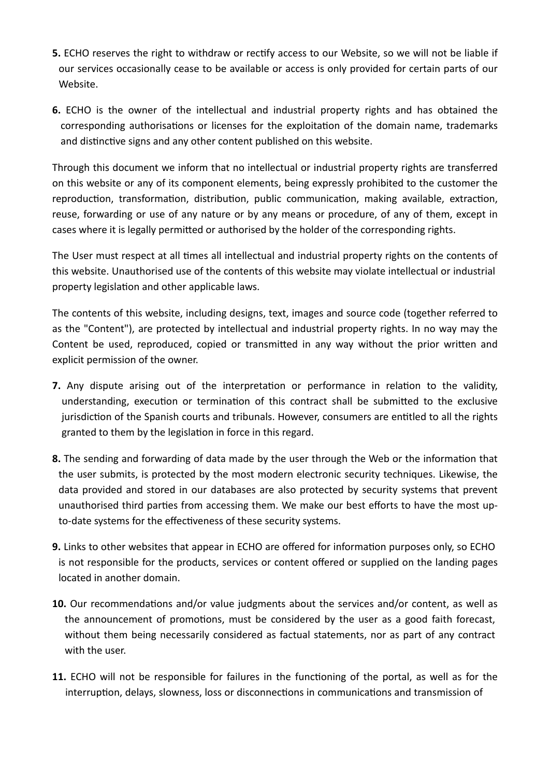- **5.** ECHO reserves the right to withdraw or rectify access to our Website, so we will not be liable if our services occasionally cease to be available or access is only provided for certain parts of our Website.
- **6.** ECHO is the owner of the intellectual and industrial property rights and has obtained the corresponding authorisations or licenses for the exploitation of the domain name, trademarks and distinctive signs and any other content published on this website.

Through this document we inform that no intellectual or industrial property rights are transferred on this website or any of its component elements, being expressly prohibited to the customer the reproduction, transformation, distribution, public communication, making available, extraction, reuse, forwarding or use of any nature or by any means or procedure, of any of them, except in cases where it is legally permitted or authorised by the holder of the corresponding rights.

The User must respect at all times all intellectual and industrial property rights on the contents of this website. Unauthorised use of the contents of this website may violate intellectual or industrial property legislation and other applicable laws.

The contents of this website, including designs, text, images and source code (together referred to as the "Content"), are protected by intellectual and industrial property rights. In no way may the Content be used, reproduced, copied or transmitted in any way without the prior written and explicit permission of the owner.

- **7.** Any dispute arising out of the interpretation or performance in relation to the validity, understanding, execution or termination of this contract shall be submitted to the exclusive jurisdiction of the Spanish courts and tribunals. However, consumers are entitled to all the rights granted to them by the legislation in force in this regard.
- 8. The sending and forwarding of data made by the user through the Web or the information that the user submits, is protected by the most modern electronic security techniques. Likewise, the data provided and stored in our databases are also protected by security systems that prevent unauthorised third parties from accessing them. We make our best efforts to have the most upto-date systems for the effectiveness of these security systems.
- **9.** Links to other websites that appear in ECHO are offered for information purposes only, so ECHO is not responsible for the products, services or content offered or supplied on the landing pages located in another domain.
- **10.** Our recommendations and/or value judgments about the services and/or content, as well as the announcement of promotions, must be considered by the user as a good faith forecast, without them being necessarily considered as factual statements, nor as part of any contract with the user.
- **11.** ECHO will not be responsible for failures in the functioning of the portal, as well as for the interruption, delays, slowness, loss or disconnections in communications and transmission of